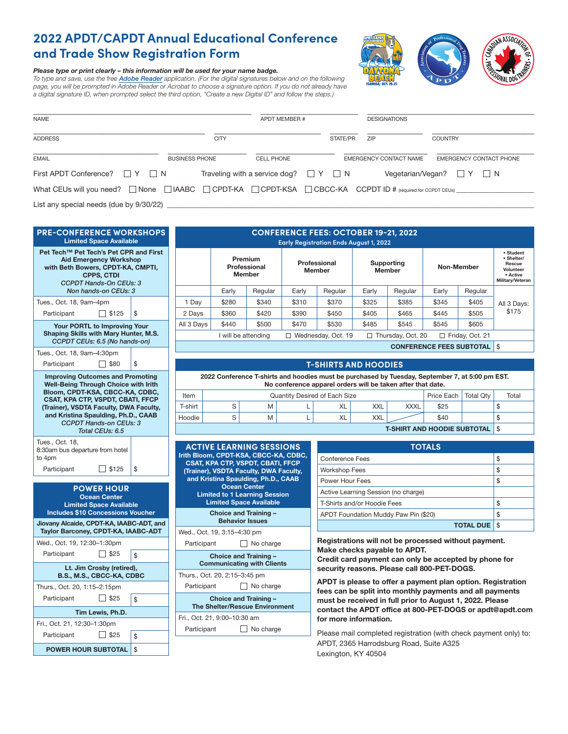# **2022 APDT/CAPDT Annual Educational Conference and Trade Show Registration Form**

# *Please type or print clearly – this information will be used for your name badge.*

*To type and save, use the free [Adobe Reader](https://get.adobe.com/reader/) application. (For the digital signatures below and on the following*  page, you will be prompted in Adobe Reader or Acrobat to choose a signature option. If you do not already have *a digital signature ID, when prompted select the third option, "Create a new Digital ID" and follow the steps.)*



| <b>NAME</b>                                                                                                                          |                       |             | <b>APDT MEMBER #</b>                          |          | <b>DESIGNATIONS</b>    |                                   |
|--------------------------------------------------------------------------------------------------------------------------------------|-----------------------|-------------|-----------------------------------------------|----------|------------------------|-----------------------------------|
| <b>ADDRESS</b>                                                                                                                       |                       | <b>CITY</b> |                                               | STATE/PR | ZIP                    | <b>COUNTRY</b>                    |
| <b>EMAIL</b>                                                                                                                         | <b>BUSINESS PHONE</b> |             | <b>CELL PHONE</b>                             |          | EMERGENCY CONTACT NAME | EMERGENCY CONTACT PHONE           |
| First APDT Conference? $\Box Y \Box N$                                                                                               |                       |             | Traveling with a service dog? $\Box Y \Box N$ |          |                        | Vegetarian/Vegan? $\Box Y \Box N$ |
| What CEUs will you need? $\Box$ None $\Box$ IAABC $\Box$ CPDT-KA $\Box$ CPDT-KSA $\Box$ CBCC-KA CCPDT ID # (required for CCPDT CEUs) |                       |             |                                               |          |                        |                                   |
| List any special needs (due by 9/30/22)                                                                                              |                       |             |                                               |          |                        |                                   |

|                                                                                                                           | <b>PRE-CONFERENCE WORKSHOPS</b><br><b>Limited Space Available</b>                                                                                |          |               |             |
|---------------------------------------------------------------------------------------------------------------------------|--------------------------------------------------------------------------------------------------------------------------------------------------|----------|---------------|-------------|
| Pet Tech™ Pet Tech's Pet CPR and First                                                                                    | <b>Aid Emergency Workshop</b><br>with Beth Bowers, CPDT-KA, CMPTI,<br><b>CPPS, CTDI</b><br><b>CCPDT Hands-On CEUs: 3</b><br>Non hands-on CEUs: 3 |          |               |             |
| Tues., Oct. 18, 9am-4pm                                                                                                   | 1 Day                                                                                                                                            |          |               |             |
| Participant                                                                                                               | 2 Days                                                                                                                                           |          |               |             |
|                                                                                                                           | <b>Your PORTL to Improving Your</b><br>Shaping Skills with Mary Hunter, M.S.<br>CCPDT CEUs: 6.5 (No hands-on)                                    |          | All 3 Days    |             |
| Tues., Oct. 18, 9am-4:30pm                                                                                                |                                                                                                                                                  |          |               |             |
| Participant                                                                                                               | \$80                                                                                                                                             | \$       |               |             |
| <b>Improving Outcomes and Promoting</b><br><b>Well-Being Through Choice with Irith</b><br>Bloom, CPDT-KSA, CBCC-KA, CDBC, |                                                                                                                                                  | 202      |               |             |
|                                                                                                                           | CSAT, KPA CTP, VSPDT, CBATI, FFCP                                                                                                                |          | Item          |             |
| (Trainer), VSDTA Faculty, DWA Faculty,<br>and Kristina Spaulding, Ph.D., CAAB                                             | T-shirt                                                                                                                                          |          |               |             |
| <b>CCPDT Hands-on CEUs: 3</b>                                                                                             | Hoodie                                                                                                                                           |          |               |             |
|                                                                                                                           | Total CEUs: 6.5                                                                                                                                  |          |               |             |
| Tues., Oct. 18,<br>8:30am bus departure from hotel<br>to 4pm<br>Participant                                               | <b>ACTIVI</b><br><b>Irith Bloom</b><br><b>CSAT, KI</b><br>(Trainer),<br>and Kris                                                                 |          |               |             |
|                                                                                                                           | <b>POWER HOUR</b><br><b>Ocean Center</b><br><b>Limited Space Available</b>                                                                       |          |               | Limit<br>Li |
|                                                                                                                           |                                                                                                                                                  |          |               |             |
|                                                                                                                           | <b>Includes \$10 Concessions Voucher</b>                                                                                                         |          |               |             |
| Jiovany Alcaide, CPDT-KA, IAABC-ADT, and<br>Taylor Barconey, CPDT-KA, IAABC-ADT                                           |                                                                                                                                                  |          | Wed., Oct.    |             |
| Wed., Oct. 19, 12:30-1:30pm                                                                                               |                                                                                                                                                  |          | Participar    |             |
| Participant                                                                                                               | $\vert$ \$25                                                                                                                                     | \$       |               |             |
|                                                                                                                           | Lt. Jim Crosby (retired),                                                                                                                        |          |               |             |
|                                                                                                                           | <b>B.S., M.S., CBCC-KA, CDBC</b>                                                                                                                 |          | Thurs., Oct.  |             |
| Thurs., Oct. 20, 1:15-2:15pm                                                                                              |                                                                                                                                                  |          | Participar    |             |
| Participant                                                                                                               | $\Box$ \$25                                                                                                                                      | \$       | The Sh        | C<br>Con    |
|                                                                                                                           | Tim Lewis, Ph.D.                                                                                                                                 |          | Fri., Oct. 21 |             |
| Fri., Oct. 21, 12:30-1:30pm                                                                                               |                                                                                                                                                  |          | Participar    |             |
| Participant                                                                                                               | $\Box$ \$25<br><b>POWER HOUR SUBTOTAL</b>                                                                                                        | \$<br>\$ |               |             |

| <b>CONFERENCE FEES: OCTOBER 19-21, 2022</b>                                                    |                                                                           |         |               |            |            |         |                                                                                |         |             |
|------------------------------------------------------------------------------------------------|---------------------------------------------------------------------------|---------|---------------|------------|------------|---------|--------------------------------------------------------------------------------|---------|-------------|
| <b>Early Registration Ends August 1, 2022</b>                                                  |                                                                           |         |               |            |            |         |                                                                                |         |             |
|                                                                                                | Premium<br>Professional<br>Professional<br><b>Member</b><br><b>Member</b> |         | <b>Member</b> | Supporting | Non-Member |         | • Student<br>• Shelter/<br>Rescue<br>Volunteer<br>• Active<br>Military/Veteran |         |             |
|                                                                                                | Early                                                                     | Regular | Early         | Regular    | Early      | Regular | Early                                                                          | Regular |             |
| 1 Day                                                                                          | \$280                                                                     | \$340   | \$310         | \$370      | \$325      | \$385   | \$345                                                                          | \$405   | All 3 Days: |
| 2 Days                                                                                         | \$360                                                                     | \$420   | \$390         | \$450      | \$405      | \$465   | \$445                                                                          | \$505   | \$175       |
| All 3 Days                                                                                     | \$440                                                                     | \$500   | \$470         | \$530      | \$485      | \$545   | \$545                                                                          | \$605   |             |
| Thursday, Oct. 20<br>Friday, Oct. 21<br>Wednesday, Oct. 19<br>will be attending<br>□<br>口<br>ப |                                                                           |         |               |            |            |         |                                                                                |         |             |
|                                                                                                |                                                                           |         |               |            |            |         |                                                                                |         |             |

**CONFERENCE FEES SUBTOTAL** \$

# **T-SHIRTS AND HOODIES**

2 Conference T-shirts and hoodies must be purchased by Tuesday, September 7, at 5:00 pm EST. **No conference apparel orders will be taken after that date.**

| Item                                    | <b>Quantity Desired of Each Size</b> |   |  |    |     |             |      | Price Each   Total Qtv | Total |
|-----------------------------------------|--------------------------------------|---|--|----|-----|-------------|------|------------------------|-------|
| T-shirt                                 |                                      | M |  | XL | XXL | <b>XXXL</b> | \$25 |                        |       |
| Hoodie                                  |                                      | M |  | XL | XXL |             | \$40 |                        |       |
| <b>T-SHIRT AND HOODIE SUBTOTAL   \$</b> |                                      |   |  |    |     |             |      |                        |       |

| <b>ACTIVE LEARNING SESSIONS</b><br>Irith Bloom, CPDT-KSA, CBCC-KA, CDBC,<br><b>CSAT, KPA CTP, VSPDT, CBATI, FFCP</b><br>(Trainer), VSDTA Faculty, DWA Faculty,<br>and Kristina Spaulding, Ph.D., CAAB<br><b>Ocean Center</b><br><b>Limited to 1 Learning Session</b><br><b>Limited Space Available</b> |                                                 |  |  |  |  |  |
|--------------------------------------------------------------------------------------------------------------------------------------------------------------------------------------------------------------------------------------------------------------------------------------------------------|-------------------------------------------------|--|--|--|--|--|
|                                                                                                                                                                                                                                                                                                        | Choice and Training -<br><b>Behavior Issues</b> |  |  |  |  |  |
| Wed., Oct. 19, 3:15–4:30 pm                                                                                                                                                                                                                                                                            |                                                 |  |  |  |  |  |
| Participant                                                                                                                                                                                                                                                                                            | No charge                                       |  |  |  |  |  |
| Choice and Training -<br><b>Communicating with Clients</b>                                                                                                                                                                                                                                             |                                                 |  |  |  |  |  |
| Thurs., Oct. 20, 2:15–3:45 pm                                                                                                                                                                                                                                                                          |                                                 |  |  |  |  |  |
| Participant                                                                                                                                                                                                                                                                                            | No charge                                       |  |  |  |  |  |
| Choice and Training -<br><b>The Shelter/Rescue Environment</b>                                                                                                                                                                                                                                         |                                                 |  |  |  |  |  |
| Fri., Oct. 21, 9:00–10:30 am                                                                                                                                                                                                                                                                           |                                                 |  |  |  |  |  |
| Participant                                                                                                                                                                                                                                                                                            | No charge                                       |  |  |  |  |  |
|                                                                                                                                                                                                                                                                                                        |                                                 |  |  |  |  |  |

| <b>TOTALS</b>                        |    |  |  |  |  |  |
|--------------------------------------|----|--|--|--|--|--|
| Conference Fees                      | \$ |  |  |  |  |  |
| <b>Workshop Fees</b>                 | \$ |  |  |  |  |  |
| Power Hour Fees                      | \$ |  |  |  |  |  |
| Active Learning Session (no charge)  |    |  |  |  |  |  |
| T-Shirts and/or Hoodie Fees          | \$ |  |  |  |  |  |
| APDT Foundation Muddy Paw Pin (\$20) | \$ |  |  |  |  |  |
| <b>TOTAL DUE</b>                     |    |  |  |  |  |  |

**Registrations will not be processed without payment. Make checks payable to APDT.** 

**Credit card payment can only be accepted by phone for security reasons. Please call 800-PET-DOGS.**

**APDT is please to offer a payment plan option. Registration fees can be split into monthly payments and all payments must be received in full prior to August 1, 2022. Please contact the APDT office at 800-PET-DOGS or apdt@apdt.com for more information.**

Please mail completed registration (with check payment only) to: APDT, 2365 Harrodsburg Road, Suite A325 Lexington, KY 40504